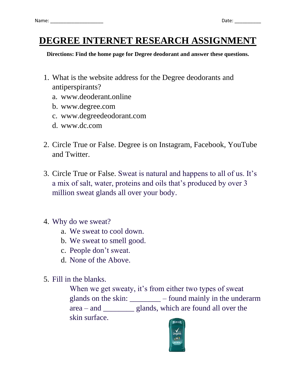## **DEGREE INTERNET RESEARCH ASSIGNMENT**

**Directions: Find the home page for Degree deodorant and answer these questions.**

- 1. What is the website address for the Degree deodorants and antiperspirants?
	- a. www.deoderant.online
	- b. www.degree.com
	- c. www.degreedeodorant.com
	- d. www.dc.com
- 2. Circle True or False. Degree is on Instagram, Facebook, YouTube and Twitter.
- 3. Circle True or False. Sweat is natural and happens to all of us. It's a mix of salt, water, proteins and oils that's produced by over 3 million sweat glands all over your body.
- 4. Why do we sweat?
	- a. We sweat to cool down.
	- b. We sweat to smell good.
	- c. People don't sweat.
	- d. None of the Above.
- 5. Fill in the blanks.

When we get sweaty, it's from either two types of sweat glands on the skin: \_\_\_\_\_\_\_\_ – found mainly in the underarm area – and \_\_\_\_\_\_\_\_ glands, which are found all over the skin surface.